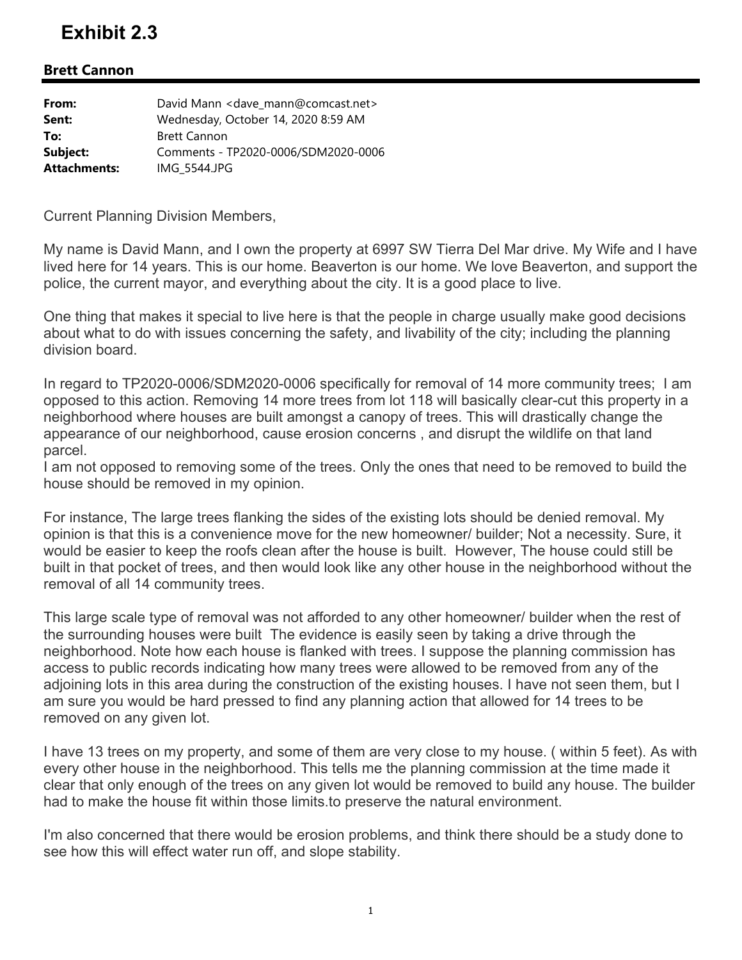## **Exhibit 2.3**

## **Brett Cannon**

| From:               | David Mann < dave mann@comcast.net> |
|---------------------|-------------------------------------|
| Sent:               | Wednesday, October 14, 2020 8:59 AM |
| To:                 | <b>Brett Cannon</b>                 |
| Subject:            | Comments - TP2020-0006/SDM2020-0006 |
| <b>Attachments:</b> | IMG 5544.JPG                        |

Current Planning Division Members,

My name is David Mann, and I own the property at 6997 SW Tierra Del Mar drive. My Wife and I have lived here for 14 years. This is our home. Beaverton is our home. We love Beaverton, and support the police, the current mayor, and everything about the city. It is a good place to live.

One thing that makes it special to live here is that the people in charge usually make good decisions about what to do with issues concerning the safety, and livability of the city; including the planning division board.

In regard to TP2020-0006/SDM2020-0006 specifically for removal of 14 more community trees; I am opposed to this action. Removing 14 more trees from lot 118 will basically clear-cut this property in a neighborhood where houses are built amongst a canopy of trees. This will drastically change the appearance of our neighborhood, cause erosion concerns , and disrupt the wildlife on that land parcel.

I am not opposed to removing some of the trees. Only the ones that need to be removed to build the house should be removed in my opinion.

For instance, The large trees flanking the sides of the existing lots should be denied removal. My opinion is that this is a convenience move for the new homeowner/ builder; Not a necessity. Sure, it would be easier to keep the roofs clean after the house is built. However, The house could still be built in that pocket of trees, and then would look like any other house in the neighborhood without the removal of all 14 community trees.

This large scale type of removal was not afforded to any other homeowner/ builder when the rest of the surrounding houses were built The evidence is easily seen by taking a drive through the neighborhood. Note how each house is flanked with trees. I suppose the planning commission has access to public records indicating how many trees were allowed to be removed from any of the adjoining lots in this area during the construction of the existing houses. I have not seen them, but I am sure you would be hard pressed to find any planning action that allowed for 14 trees to be removed on any given lot.

I have 13 trees on my property, and some of them are very close to my house. ( within 5 feet). As with every other house in the neighborhood. This tells me the planning commission at the time made it clear that only enough of the trees on any given lot would be removed to build any house. The builder had to make the house fit within those limits.to preserve the natural environment.

I'm also concerned that there would be erosion problems, and think there should be a study done to see how this will effect water run off, and slope stability.